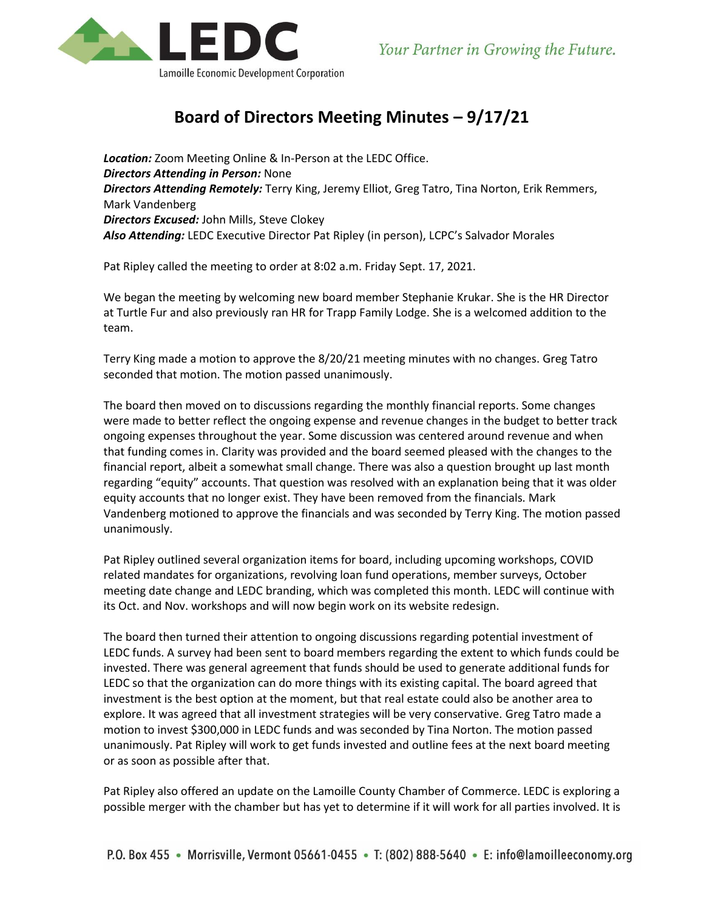

## **Board of Directors Meeting Minutes – 9/17/21**

*Location:* Zoom Meeting Online & In-Person at the LEDC Office. *Directors Attending in Person:* None *Directors Attending Remotely:* Terry King, Jeremy Elliot, Greg Tatro, Tina Norton, Erik Remmers, Mark Vandenberg *Directors Excused:* John Mills, Steve Clokey *Also Attending:* LEDC Executive Director Pat Ripley (in person), LCPC's Salvador Morales

Pat Ripley called the meeting to order at 8:02 a.m. Friday Sept. 17, 2021.

We began the meeting by welcoming new board member Stephanie Krukar. She is the HR Director at Turtle Fur and also previously ran HR for Trapp Family Lodge. She is a welcomed addition to the team.

Terry King made a motion to approve the 8/20/21 meeting minutes with no changes. Greg Tatro seconded that motion. The motion passed unanimously.

The board then moved on to discussions regarding the monthly financial reports. Some changes were made to better reflect the ongoing expense and revenue changes in the budget to better track ongoing expenses throughout the year. Some discussion was centered around revenue and when that funding comes in. Clarity was provided and the board seemed pleased with the changes to the financial report, albeit a somewhat small change. There was also a question brought up last month regarding "equity" accounts. That question was resolved with an explanation being that it was older equity accounts that no longer exist. They have been removed from the financials. Mark Vandenberg motioned to approve the financials and was seconded by Terry King. The motion passed unanimously.

Pat Ripley outlined several organization items for board, including upcoming workshops, COVID related mandates for organizations, revolving loan fund operations, member surveys, October meeting date change and LEDC branding, which was completed this month. LEDC will continue with its Oct. and Nov. workshops and will now begin work on its website redesign.

The board then turned their attention to ongoing discussions regarding potential investment of LEDC funds. A survey had been sent to board members regarding the extent to which funds could be invested. There was general agreement that funds should be used to generate additional funds for LEDC so that the organization can do more things with its existing capital. The board agreed that investment is the best option at the moment, but that real estate could also be another area to explore. It was agreed that all investment strategies will be very conservative. Greg Tatro made a motion to invest \$300,000 in LEDC funds and was seconded by Tina Norton. The motion passed unanimously. Pat Ripley will work to get funds invested and outline fees at the next board meeting or as soon as possible after that.

Pat Ripley also offered an update on the Lamoille County Chamber of Commerce. LEDC is exploring a possible merger with the chamber but has yet to determine if it will work for all parties involved. It is